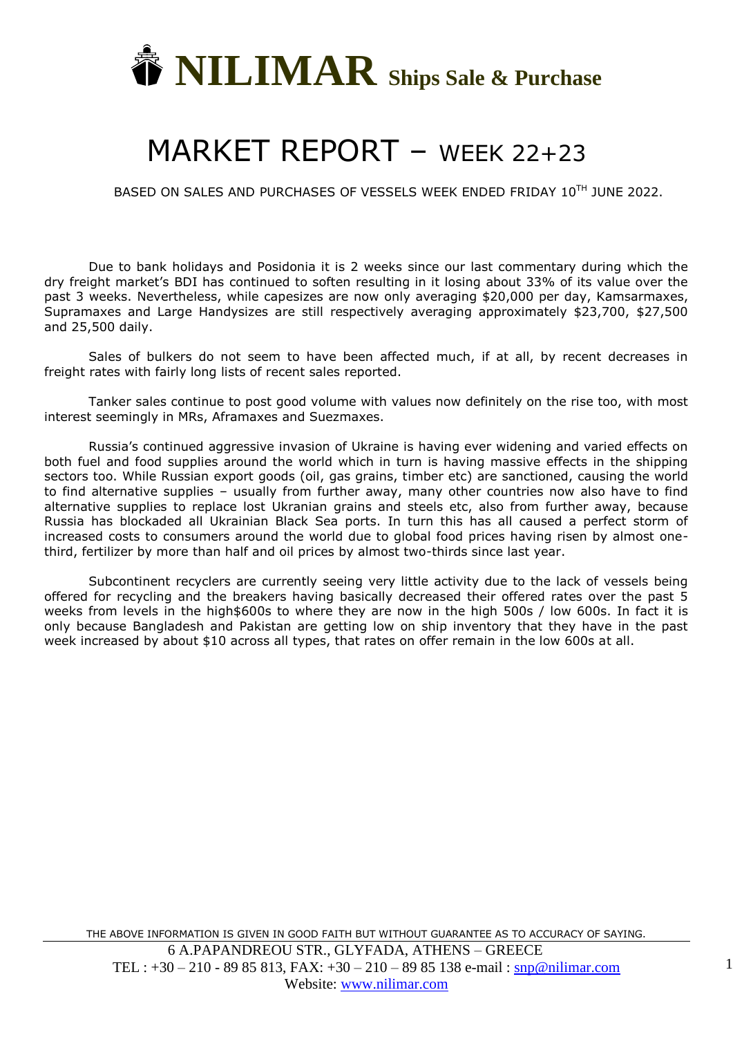

## MARKET REPORT – WEEK 22+23

BASED ON SALES AND PURCHASES OF VESSELS WEEK ENDED FRIDAY 10TH JUNE 2022.

Due to bank holidays and Posidonia it is 2 weeks since our last commentary during which the dry freight market's BDI has continued to soften resulting in it losing about 33% of its value over the past 3 weeks. Nevertheless, while capesizes are now only averaging \$20,000 per day, Kamsarmaxes, Supramaxes and Large Handysizes are still respectively averaging approximately \$23,700, \$27,500 and 25,500 daily.

Sales of bulkers do not seem to have been affected much, if at all, by recent decreases in freight rates with fairly long lists of recent sales reported.

Tanker sales continue to post good volume with values now definitely on the rise too, with most interest seemingly in MRs, Aframaxes and Suezmaxes.

Russia's continued aggressive invasion of Ukraine is having ever widening and varied effects on both fuel and food supplies around the world which in turn is having massive effects in the shipping sectors too. While Russian export goods (oil, gas grains, timber etc) are sanctioned, causing the world to find alternative supplies – usually from further away, many other countries now also have to find alternative supplies to replace lost Ukranian grains and steels etc, also from further away, because Russia has blockaded all Ukrainian Black Sea ports. In turn this has all caused a perfect storm of increased costs to consumers around the world due to global food prices having risen by almost onethird, fertilizer by more than half and oil prices by almost two-thirds since last year.

Subcontinent recyclers are currently seeing very little activity due to the lack of vessels being offered for recycling and the breakers having basically decreased their offered rates over the past 5 weeks from levels in the high\$600s to where they are now in the high 500s / low 600s. In fact it is only because Bangladesh and Pakistan are getting low on ship inventory that they have in the past week increased by about \$10 across all types, that rates on offer remain in the low 600s at all.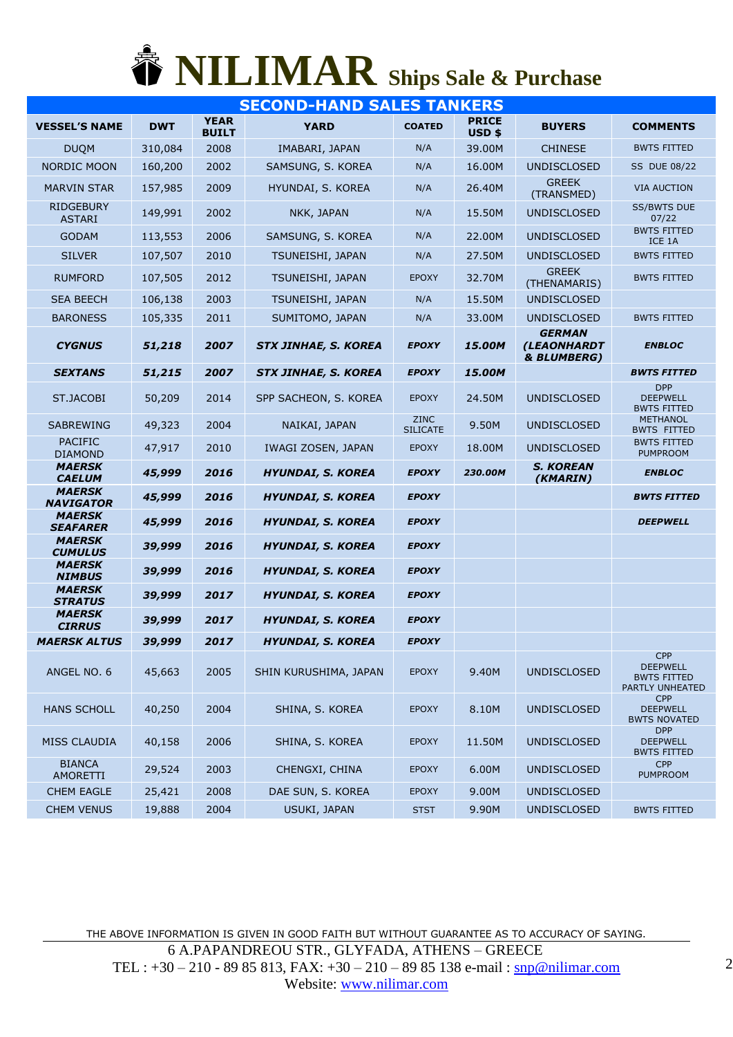## **NILIMAR Ships Sale & Purchase**

| <b>SECOND-HAND SALES TANKERS</b>  |            |                             |                             |                                |                       |                                             |                                                                        |  |  |  |
|-----------------------------------|------------|-----------------------------|-----------------------------|--------------------------------|-----------------------|---------------------------------------------|------------------------------------------------------------------------|--|--|--|
| <b>VESSEL'S NAME</b>              | <b>DWT</b> | <b>YEAR</b><br><b>BUILT</b> | <b>YARD</b>                 | <b>COATED</b>                  | <b>PRICE</b><br>USD\$ | <b>BUYERS</b>                               | <b>COMMENTS</b>                                                        |  |  |  |
| <b>DUQM</b>                       | 310,084    | 2008                        | IMABARI, JAPAN              | N/A                            | 39.00M                | <b>CHINESE</b>                              | <b>BWTS FITTED</b>                                                     |  |  |  |
| <b>NORDIC MOON</b>                | 160,200    | 2002                        | SAMSUNG, S. KOREA           | N/A                            | 16.00M                | <b>UNDISCLOSED</b>                          | <b>SS DUE 08/22</b>                                                    |  |  |  |
| <b>MARVIN STAR</b>                | 157,985    | 2009                        | HYUNDAI, S. KOREA           | N/A                            | 26.40M                | <b>GREEK</b><br>(TRANSMED)                  | <b>VIA AUCTION</b>                                                     |  |  |  |
| <b>RIDGEBURY</b><br><b>ASTARI</b> | 149,991    | 2002                        | NKK, JAPAN                  | N/A                            | 15.50M                | <b>UNDISCLOSED</b>                          | <b>SS/BWTS DUE</b><br>07/22                                            |  |  |  |
| <b>GODAM</b>                      | 113,553    | 2006                        | SAMSUNG, S. KOREA           | N/A                            | 22,00M                | <b>UNDISCLOSED</b>                          | <b>BWTS FITTED</b><br>ICE 1A                                           |  |  |  |
| <b>SILVER</b>                     | 107,507    | 2010                        | TSUNEISHI, JAPAN            | N/A                            | 27.50M                | <b>UNDISCLOSED</b>                          | <b>BWTS FITTED</b>                                                     |  |  |  |
| <b>RUMFORD</b>                    | 107,505    | 2012                        | TSUNEISHI, JAPAN            | <b>EPOXY</b>                   | 32.70M                | <b>GREEK</b><br>(THENAMARIS)                | <b>BWTS FITTED</b>                                                     |  |  |  |
| <b>SEA BEECH</b>                  | 106,138    | 2003                        | TSUNEISHI, JAPAN            | N/A                            | 15.50M                | UNDISCLOSED                                 |                                                                        |  |  |  |
| <b>BARONESS</b>                   | 105,335    | 2011                        | SUMITOMO, JAPAN             | N/A                            | 33.00M                | <b>UNDISCLOSED</b>                          | <b>BWTS FITTED</b>                                                     |  |  |  |
| <b>CYGNUS</b>                     | 51,218     | 2007                        | <b>STX JINHAE, S. KOREA</b> | <b>EPOXY</b>                   | 15.00M                | <b>GERMAN</b><br>(LEAONHARDT<br>& BLUMBERG) | <b>ENBLOC</b>                                                          |  |  |  |
| <b>SEXTANS</b>                    | 51,215     | 2007                        | <b>STX JINHAE, S. KOREA</b> | <b>EPOXY</b>                   | 15.00M                |                                             | <b>BWTS FITTED</b>                                                     |  |  |  |
| ST.JACOBI                         | 50,209     | 2014                        | SPP SACHEON, S. KOREA       | <b>EPOXY</b>                   | 24.50M                | <b>UNDISCLOSED</b>                          | <b>DPP</b><br><b>DEEPWELL</b><br><b>BWTS FITTED</b>                    |  |  |  |
| <b>SABREWING</b>                  | 49,323     | 2004                        | NAIKAI, JAPAN               | <b>ZINC</b><br><b>SILICATE</b> | 9.50M                 | <b>UNDISCLOSED</b>                          | <b>METHANOL</b><br><b>BWTS FITTED</b>                                  |  |  |  |
| <b>PACIFIC</b><br><b>DIAMOND</b>  | 47,917     | 2010                        | IWAGI ZOSEN, JAPAN          | <b>EPOXY</b>                   | 18.00M                | <b>UNDISCLOSED</b>                          | <b>BWTS FITTED</b><br><b>PUMPROOM</b>                                  |  |  |  |
|                                   |            |                             |                             |                                |                       |                                             |                                                                        |  |  |  |
| <b>MAERSK</b><br><b>CAELUM</b>    | 45,999     | 2016                        | <b>HYUNDAI, S. KOREA</b>    | <b>EPOXY</b>                   | 230.00M               | <b>S. KOREAN</b><br>(KMARIN)                | <b>ENBLOC</b>                                                          |  |  |  |
| <b>MAERSK</b><br><b>NAVIGATOR</b> | 45,999     | 2016                        | <b>HYUNDAI, S. KOREA</b>    | <b>EPOXY</b>                   |                       |                                             | <b>BWTS FITTED</b>                                                     |  |  |  |
| <b>MAERSK</b><br><b>SEAFARER</b>  | 45,999     | 2016                        | <b>HYUNDAI, S. KOREA</b>    | <b>EPOXY</b>                   |                       |                                             | <b>DEEPWELL</b>                                                        |  |  |  |
| <b>MAERSK</b><br>CUMULUS          | 39,999     | 2016                        | <b>HYUNDAI, S. KOREA</b>    | <b>EPOXY</b>                   |                       |                                             |                                                                        |  |  |  |
| <b>MAERSK</b><br><b>NIMBUS</b>    | 39,999     | 2016                        | <b>HYUNDAI, S. KOREA</b>    | <b>EPOXY</b>                   |                       |                                             |                                                                        |  |  |  |
| <b>MAERSK</b><br><b>STRATUS</b>   | 39,999     | 2017                        | <b>HYUNDAI, S. KOREA</b>    | <b>EPOXY</b>                   |                       |                                             |                                                                        |  |  |  |
| <b>MAERSK</b><br><b>CIRRUS</b>    | 39,999     | 2017                        | <b>HYUNDAI, S. KOREA</b>    | <b>EPOXY</b>                   |                       |                                             |                                                                        |  |  |  |
| <b>MAERSK ALTUS</b>               | 39,999     | 2017                        | <b>HYUNDAI, S. KOREA</b>    | <b>EPOXY</b>                   |                       |                                             |                                                                        |  |  |  |
| ANGEL NO. 6                       | 45,663     | 2005                        | SHIN KURUSHIMA, JAPAN       | <b>EPOXY</b>                   | 9.40M                 | <b>UNDISCLOSED</b>                          | <b>CPP</b><br><b>DEEPWELL</b><br><b>BWTS FITTED</b><br>PARTLY UNHEATED |  |  |  |
| <b>HANS SCHOLL</b>                | 40,250     | 2004                        | SHINA, S. KOREA             | <b>EPOXY</b>                   | 8.10M                 | <b>UNDISCLOSED</b>                          | <b>CPP</b><br><b>DEEPWELL</b><br><b>BWTS NOVATED</b>                   |  |  |  |
| <b>MISS CLAUDIA</b>               | 40,158     | 2006                        | SHINA, S. KOREA             | <b>EPOXY</b>                   | 11.50M                | <b>UNDISCLOSED</b>                          | <b>DPP</b><br><b>DEEPWELL</b><br><b>BWTS FITTED</b>                    |  |  |  |
| <b>BIANCA</b><br><b>AMORETTI</b>  | 29,524     | 2003                        | CHENGXI, CHINA              | <b>EPOXY</b>                   | 6.00M                 | <b>UNDISCLOSED</b>                          | <b>CPP</b><br><b>PUMPROOM</b>                                          |  |  |  |
| <b>CHEM EAGLE</b>                 | 25,421     | 2008                        | DAE SUN, S. KOREA           | <b>EPOXY</b>                   | 9.00M                 | <b>UNDISCLOSED</b>                          |                                                                        |  |  |  |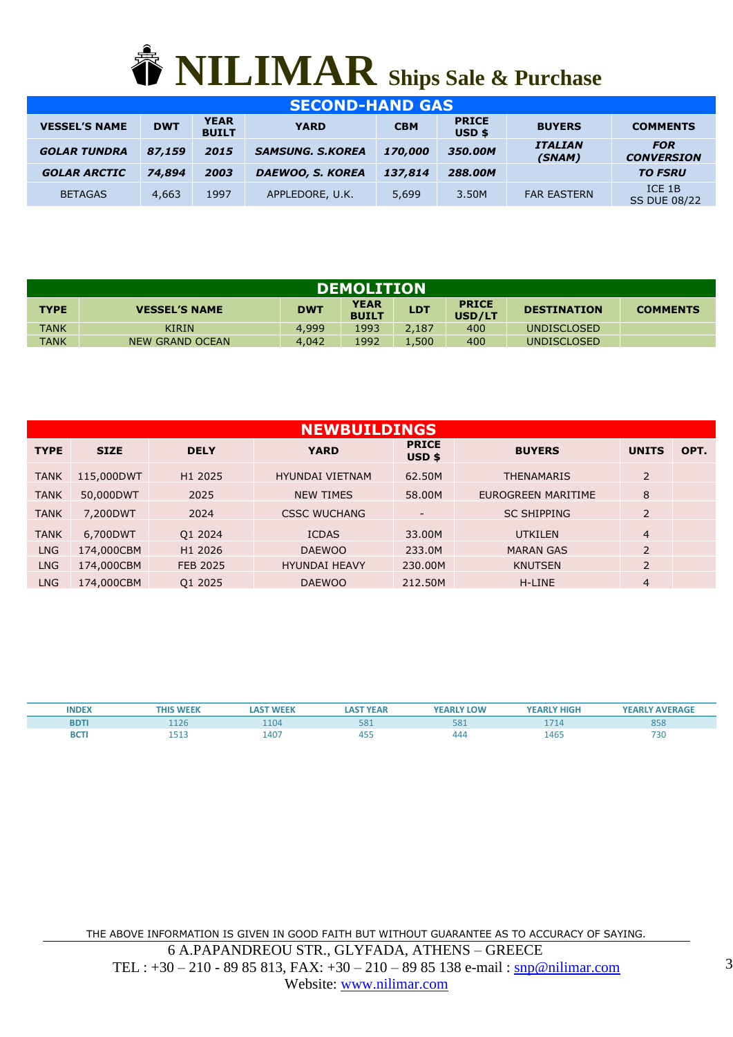

| <b>SECOND-HAND GAS</b> |            |                             |                         |            |                                   |                          |                                 |  |  |  |  |
|------------------------|------------|-----------------------------|-------------------------|------------|-----------------------------------|--------------------------|---------------------------------|--|--|--|--|
| <b>VESSEL'S NAME</b>   | <b>DWT</b> | <b>YEAR</b><br><b>BUILT</b> | <b>YARD</b>             | <b>CBM</b> | <b>PRICE</b><br>USD <sub>\$</sub> | <b>BUYERS</b>            | <b>COMMENTS</b>                 |  |  |  |  |
| <b>GOLAR TUNDRA</b>    | 87,159     | 2015                        | <b>SAMSUNG, S.KOREA</b> | 170,000    | 350.00M                           | <b>ITALIAN</b><br>(SNAM) | <b>FOR</b><br><b>CONVERSION</b> |  |  |  |  |
| <b>GOLAR ARCTIC</b>    | 74,894     | 2003                        | <b>DAEWOO, S. KOREA</b> | 137,814    | 288.00M                           |                          | <b>TO FSRU</b>                  |  |  |  |  |
| <b>BETAGAS</b>         | 4,663      | 1997                        | APPLEDORE, U.K.         | 5,699      | 3.50M                             | <b>FAR EASTERN</b>       | ICE 1B<br><b>SS DUE 08/22</b>   |  |  |  |  |

| <b>DEMOLITION</b> |                                                                                                                                                    |       |      |       |     |             |  |  |  |  |  |
|-------------------|----------------------------------------------------------------------------------------------------------------------------------------------------|-------|------|-------|-----|-------------|--|--|--|--|--|
| <b>TYPE</b>       | <b>YEAR</b><br><b>PRICE</b><br><b>LDT</b><br><b>DWT</b><br><b>VESSEL'S NAME</b><br><b>DESTINATION</b><br><b>COMMENTS</b><br><b>BUILT</b><br>USD/LT |       |      |       |     |             |  |  |  |  |  |
| <b>TANK</b>       | <b>KIRIN</b>                                                                                                                                       | 4,999 | 1993 | 2.187 | 400 | UNDISCLOSED |  |  |  |  |  |
| <b>TANK</b>       | 1992<br>1.500<br>400<br>4,042<br>NEW GRAND OCEAN<br><b>UNDISCLOSED</b>                                                                             |       |      |       |     |             |  |  |  |  |  |

|             | <b>NEWBUILDINGS</b> |                 |                        |                          |                    |                |      |  |  |  |  |  |
|-------------|---------------------|-----------------|------------------------|--------------------------|--------------------|----------------|------|--|--|--|--|--|
| <b>TYPE</b> | <b>SIZE</b>         | <b>DELY</b>     | <b>YARD</b>            | <b>PRICE</b><br>$USD$ \$ | <b>BUYERS</b>      | <b>UNITS</b>   | OPT. |  |  |  |  |  |
| <b>TANK</b> | 115,000DWT          | H1 2025         | <b>HYUNDAI VIETNAM</b> | 62.50M                   | <b>THENAMARIS</b>  | $\overline{2}$ |      |  |  |  |  |  |
| <b>TANK</b> | 50,000DWT           | 2025            | <b>NEW TIMES</b>       | 58,00M                   | EUROGREEN MARITIME | 8              |      |  |  |  |  |  |
| <b>TANK</b> | 7,200DWT            | 2024            | <b>CSSC WUCHANG</b>    | Ξ.                       | <b>SC SHIPPING</b> | $\overline{2}$ |      |  |  |  |  |  |
| <b>TANK</b> | 6,700DWT            | Q1 2024         | <b>ICDAS</b>           | 33,00M                   | <b>UTKILEN</b>     | $\overline{4}$ |      |  |  |  |  |  |
| <b>LNG</b>  | 174,000CBM          | H1 2026         | <b>DAEWOO</b>          | 233.0M                   | <b>MARAN GAS</b>   | $\overline{2}$ |      |  |  |  |  |  |
| <b>LNG</b>  | 174,000CBM          | <b>FEB 2025</b> | <b>HYUNDAI HEAVY</b>   | 230.00M                  | <b>KNUTSEN</b>     | $\overline{2}$ |      |  |  |  |  |  |
| <b>LNG</b>  | 174,000CBM          | Q1 2025         | <b>DAEWOO</b>          | 212.50M                  | H-LINE             | $\overline{4}$ |      |  |  |  |  |  |

| <b>INDEX</b> | <b>WEEK</b><br>THIS | <b>LAST WEEK</b> | <b>LAST YEAR</b> | <b>YEARLY LOW</b> | <b>YEARLY HIGH</b> | <b>YEARLY AVERAGE</b> |
|--------------|---------------------|------------------|------------------|-------------------|--------------------|-----------------------|
| <b>BDTI</b>  |                     | 1104             | 58               | <b>CON</b><br>Jō. | 171                | 858                   |
| <b>BCTI</b>  | $-1$<br>.<br>___    | 1407             | 45F<br>+ບພ       | 444               | 1465               | 730                   |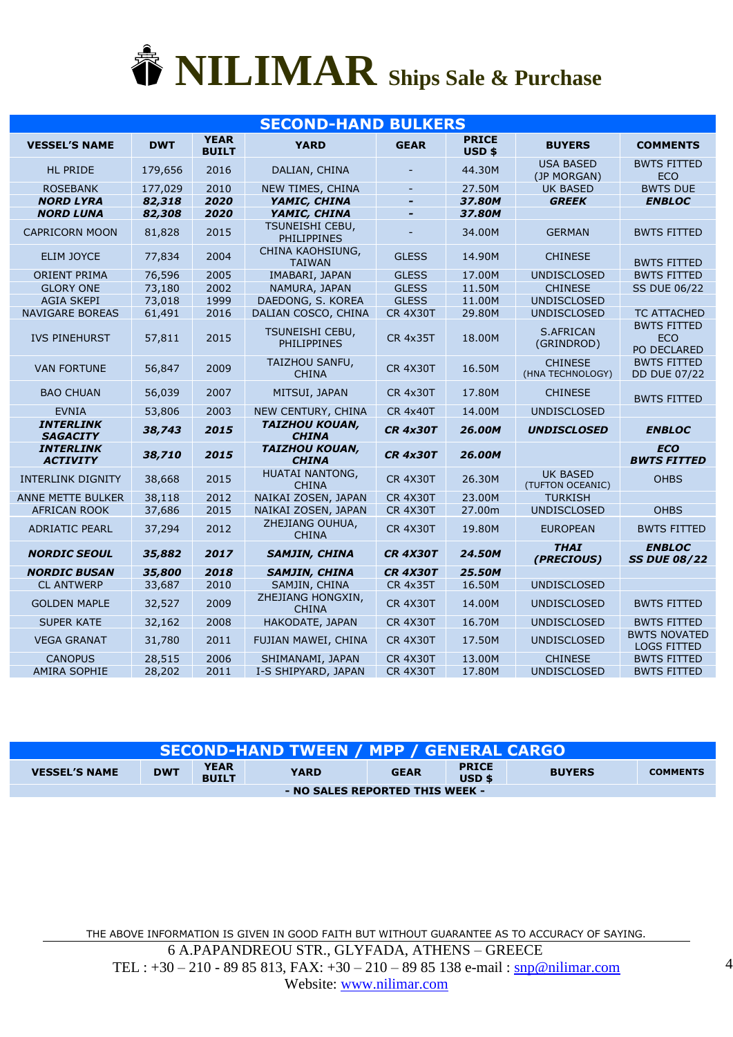

|                                     | <b>SECOND-HAND BULKERS</b> |                             |                                       |                          |                                   |                                     |                                                 |  |  |  |
|-------------------------------------|----------------------------|-----------------------------|---------------------------------------|--------------------------|-----------------------------------|-------------------------------------|-------------------------------------------------|--|--|--|
| <b>VESSEL'S NAME</b>                | <b>DWT</b>                 | <b>YEAR</b><br><b>BUILT</b> | <b>YARD</b>                           | <b>GEAR</b>              | <b>PRICE</b><br>USD <sub>\$</sub> | <b>BUYERS</b>                       | <b>COMMENTS</b>                                 |  |  |  |
| <b>HL PRIDE</b>                     | 179,656                    | 2016                        | DALIAN, CHINA                         |                          | 44.30M                            | <b>USA BASED</b><br>(JP MORGAN)     | <b>BWTS FITTED</b><br><b>ECO</b>                |  |  |  |
| <b>ROSEBANK</b>                     | 177,029                    | 2010                        | NEW TIMES, CHINA                      | $\equiv$                 | 27.50M                            | <b>UK BASED</b>                     | <b>BWTS DUE</b>                                 |  |  |  |
| <b>NORD LYRA</b>                    | 82,318                     | 2020                        | YAMIC, CHINA                          | $\overline{\phantom{0}}$ | 37.80M                            | <b>GREEK</b>                        | <b>ENBLOC</b>                                   |  |  |  |
| <b>NORD LUNA</b>                    | 82,308                     | 2020                        | YAMIC, CHINA                          |                          | 37.80M                            |                                     |                                                 |  |  |  |
| <b>CAPRICORN MOON</b>               | 81,828                     | 2015                        | TSUNEISHI CEBU,<br><b>PHILIPPINES</b> |                          | 34.00M                            | <b>GERMAN</b>                       | <b>BWTS FITTED</b>                              |  |  |  |
| <b>ELIM JOYCE</b>                   | 77,834                     | 2004                        | CHINA KAOHSIUNG,<br><b>TAIWAN</b>     | <b>GLESS</b>             | 14.90M                            | <b>CHINESE</b>                      | <b>BWTS FITTED</b>                              |  |  |  |
| <b>ORIENT PRIMA</b>                 | 76,596                     | 2005                        | IMABARI, JAPAN                        | <b>GLESS</b>             | 17.00M                            | <b>UNDISCLOSED</b>                  | <b>BWTS FITTED</b>                              |  |  |  |
| <b>GLORY ONE</b>                    | 73,180                     | 2002                        | NAMURA, JAPAN                         | <b>GLESS</b>             | 11.50M                            | <b>CHINESE</b>                      | <b>SS DUE 06/22</b>                             |  |  |  |
| <b>AGIA SKEPI</b>                   | 73,018                     | 1999                        | DAEDONG, S. KOREA                     | <b>GLESS</b>             | 11.00M                            | <b>UNDISCLOSED</b>                  |                                                 |  |  |  |
| <b>NAVIGARE BOREAS</b>              | 61,491                     | 2016                        | DALIAN COSCO, CHINA                   | <b>CR 4X30T</b>          | 29.80M                            | <b>UNDISCLOSED</b>                  | <b>TC ATTACHED</b>                              |  |  |  |
| <b>IVS PINEHURST</b>                | 57,811                     | 2015                        | TSUNEISHI CEBU,<br>PHILIPPINES        | <b>CR 4x35T</b>          | 18,00M                            | <b>S.AFRICAN</b><br>(GRINDROD)      | <b>BWTS FITTED</b><br><b>ECO</b><br>PO DECLARED |  |  |  |
| <b>VAN FORTUNE</b>                  | 56,847                     | 2009                        | TAIZHOU SANFU,<br><b>CHINA</b>        | <b>CR 4X30T</b>          | 16.50M                            | <b>CHINESE</b><br>(HNA TECHNOLOGY)  | <b>BWTS FITTED</b><br><b>DD DUE 07/22</b>       |  |  |  |
| <b>BAO CHUAN</b>                    | 56,039                     | 2007                        | MITSUI, JAPAN                         | <b>CR 4x30T</b>          | 17.80M                            | <b>CHINESE</b>                      | <b>BWTS FITTED</b>                              |  |  |  |
| <b>EVNIA</b>                        | 53,806                     | 2003                        | NEW CENTURY, CHINA                    | <b>CR 4x40T</b>          | 14.00M                            | <b>UNDISCLOSED</b>                  |                                                 |  |  |  |
| <b>INTERLINK</b><br><b>SAGACITY</b> | 38,743                     | 2015                        | <b>TAIZHOU KOUAN,</b><br><b>CHINA</b> | <b>CR 4x30T</b>          | 26.00M                            | <b>UNDISCLOSED</b>                  | <b>ENBLOC</b>                                   |  |  |  |
| <b>INTERLINK</b><br><b>ACTIVITY</b> | 38,710                     | 2015                        | <b>TAIZHOU KOUAN,</b><br><b>CHINA</b> | <b>CR 4x30T</b>          | 26.00M                            |                                     | <b>ECO</b><br><b>BWTS FITTED</b>                |  |  |  |
| <b>INTERLINK DIGNITY</b>            | 38,668                     | 2015                        | HUATAI NANTONG,<br><b>CHINA</b>       | <b>CR 4X30T</b>          | 26.30M                            | <b>UK BASED</b><br>(TUFTON OCEANIC) | <b>OHBS</b>                                     |  |  |  |
| ANNE METTE BULKER                   | 38,118                     | 2012                        | NAIKAI ZOSEN, JAPAN                   | <b>CR 4X30T</b>          | 23.00M                            | <b>TURKISH</b>                      |                                                 |  |  |  |
| <b>AFRICAN ROOK</b>                 | 37,686                     | 2015                        | NAIKAI ZOSEN, JAPAN                   | <b>CR 4X30T</b>          | 27.00m                            | <b>UNDISCLOSED</b>                  | <b>OHBS</b>                                     |  |  |  |
| <b>ADRIATIC PEARL</b>               | 37,294                     | 2012                        | ZHEJIANG OUHUA,<br><b>CHINA</b>       | <b>CR 4X30T</b>          | 19.80M                            | <b>EUROPEAN</b>                     | <b>BWTS FITTED</b>                              |  |  |  |
| <b>NORDIC SEOUL</b>                 | 35,882                     | 2017                        | <b>SAMJIN, CHINA</b>                  | <b>CR 4X30T</b>          | 24.50M                            | <b>THAI</b><br>(PRECIOUS)           | <b>ENBLOC</b><br><b>SS DUE 08/22</b>            |  |  |  |
| <b>NORDIC BUSAN</b>                 | 35,800                     | 2018                        | <b>SAMJIN, CHINA</b>                  | <b>CR 4X30T</b>          | 25.50M                            |                                     |                                                 |  |  |  |
| <b>CL ANTWERP</b>                   | 33,687                     | 2010                        | SAMJIN, CHINA                         | <b>CR 4x35T</b>          | 16.50M                            | <b>UNDISCLOSED</b>                  |                                                 |  |  |  |
| <b>GOLDEN MAPLE</b>                 | 32,527                     | 2009                        | ZHEJIANG HONGXIN,<br><b>CHINA</b>     | <b>CR 4X30T</b>          | 14.00M                            | <b>UNDISCLOSED</b>                  | <b>BWTS FITTED</b>                              |  |  |  |
| <b>SUPER KATE</b>                   | 32,162                     | 2008                        | HAKODATE, JAPAN                       | <b>CR 4X30T</b>          | 16.70M                            | <b>UNDISCLOSED</b>                  | <b>BWTS FITTED</b>                              |  |  |  |
| <b>VEGA GRANAT</b>                  | 31,780                     | 2011                        | FUJIAN MAWEI, CHINA                   | <b>CR 4X30T</b>          | 17.50M                            | <b>UNDISCLOSED</b>                  | <b>BWTS NOVATED</b><br><b>LOGS FITTED</b>       |  |  |  |
| <b>CANOPUS</b>                      | 28,515                     | 2006                        | SHIMANAMI, JAPAN                      | <b>CR 4X30T</b>          | 13.00M                            | <b>CHINESE</b>                      | <b>BWTS FITTED</b>                              |  |  |  |
| <b>AMIRA SOPHIE</b>                 | 28,202                     | 2011                        | I-S SHIPYARD, JAPAN                   | <b>CR 4X30T</b>          | 17.80M                            | <b>UNDISCLOSED</b>                  | <b>BWTS FITTED</b>                              |  |  |  |

| <b>SECOND-HAND TWEEN / MPP / GENERAL CARGO</b> |            |                             |             |             |                          |               |                 |  |  |
|------------------------------------------------|------------|-----------------------------|-------------|-------------|--------------------------|---------------|-----------------|--|--|
| <b>VESSEL'S NAME</b>                           | <b>DWT</b> | <b>YEAR</b><br><b>BUILT</b> | <b>YARD</b> | <b>GEAR</b> | <b>PRICE</b><br>$USD$ \$ | <b>BUYERS</b> | <b>COMMENTS</b> |  |  |
| - NO SALES REPORTED THIS WEEK -                |            |                             |             |             |                          |               |                 |  |  |

THE ABOVE INFORMATION IS GIVEN IN GOOD FAITH BUT WITHOUT GUARANTEE AS TO ACCURACY OF SAYING. 6 A.PAPANDREOU STR., GLYFADA, ATHENS – GREECE TEL :  $+30 - 210 - 8985813$ , FAX:  $+30 - 210 - 8985138$  e-mail : [snp@nilimar.com](mailto:snp@nilimar.com) Website: [www.nilimar.com](http://www.nilimar.com/)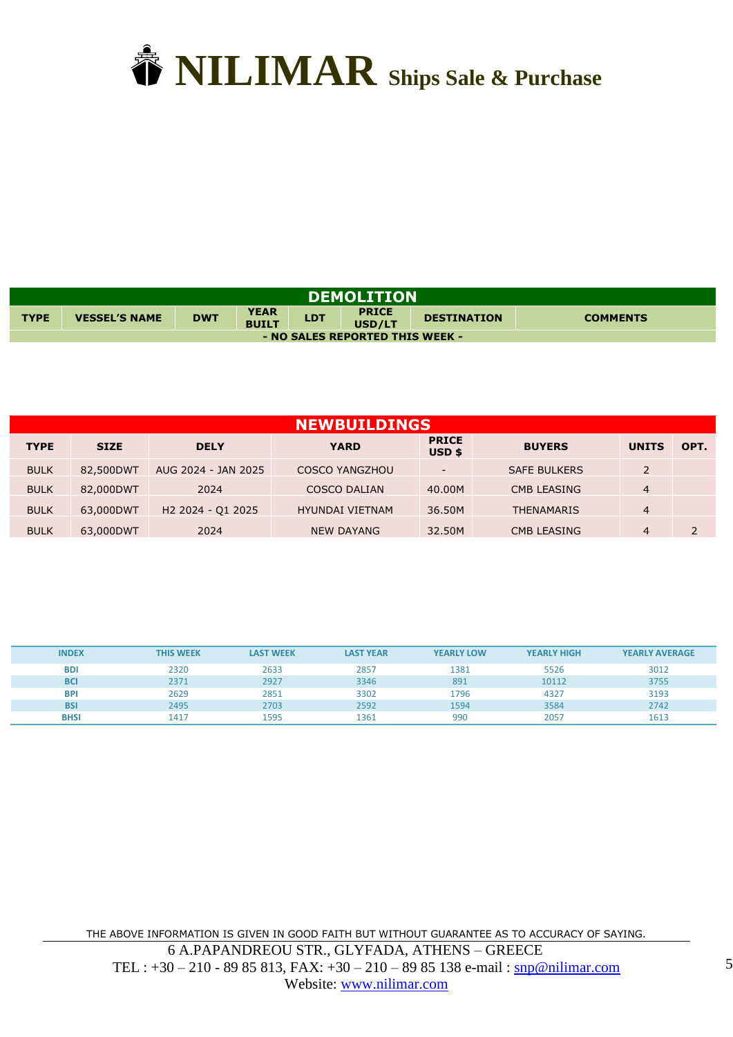

| <b>DEMOLITION</b>               |                      |            |                             |            |                        |                    |                 |  |  |
|---------------------------------|----------------------|------------|-----------------------------|------------|------------------------|--------------------|-----------------|--|--|
| <b>TYPE</b>                     | <b>VESSEL'S NAME</b> | <b>DWT</b> | <b>YEAR</b><br><b>BUILT</b> | <b>LDT</b> | <b>PRICE</b><br>USD/LT | <b>DESTINATION</b> | <b>COMMENTS</b> |  |  |
| - NO SALES REPORTED THIS WEEK - |                      |            |                             |            |                        |                    |                 |  |  |

|             | <b>NEWBUILDINGS</b> |                               |                        |                          |                     |                |      |  |  |  |  |
|-------------|---------------------|-------------------------------|------------------------|--------------------------|---------------------|----------------|------|--|--|--|--|
| <b>TYPE</b> | <b>SIZE</b>         | <b>DELY</b>                   | <b>YARD</b>            | <b>PRICE</b><br>$USD$ \$ | <b>BUYERS</b>       | <b>UNITS</b>   | OPT. |  |  |  |  |
| <b>BULK</b> | 82,500DWT           | AUG 2024 - JAN 2025           | <b>COSCO YANGZHOU</b>  |                          | <b>SAFE BULKERS</b> | $\overline{2}$ |      |  |  |  |  |
| <b>BULK</b> | 82,000DWT           | 2024                          | <b>COSCO DALIAN</b>    | 40.00M                   | <b>CMB LEASING</b>  | $\overline{4}$ |      |  |  |  |  |
| <b>BULK</b> | 63,000DWT           | H <sub>2</sub> 2024 - 01 2025 | <b>HYUNDAI VIETNAM</b> | 36.50M                   | <b>THENAMARIS</b>   | $\overline{4}$ |      |  |  |  |  |
| <b>BULK</b> | 63,000DWT           | 2024                          | <b>NEW DAYANG</b>      | 32.50M                   | <b>CMB LEASING</b>  | $\overline{4}$ |      |  |  |  |  |

| <b>INDEX</b> | <b>THIS WEEK</b> | <b>LAST WEEK</b> | <b>LAST YEAR</b> | <b>YEARLY LOW</b> | <b>YEARLY HIGH</b> | <b>YEARLY AVERAGE</b> |
|--------------|------------------|------------------|------------------|-------------------|--------------------|-----------------------|
| <b>BDI</b>   | 2320             | 2633             | 2857             | 1381              | 5526               | 3012                  |
| <b>BCI</b>   | 2371             | 2927             | 3346             | 891               | 10112              | 3755                  |
| <b>BPI</b>   | 2629             | 2851             | 3302             | 1796              | 4327               | 3193                  |
| <b>BSI</b>   | 2495             | 2703             | 2592             | 1594              | 3584               | 2742                  |
| <b>BHSI</b>  | 1417             | 1595             | 1361             | 990               | 2057               | 1613                  |